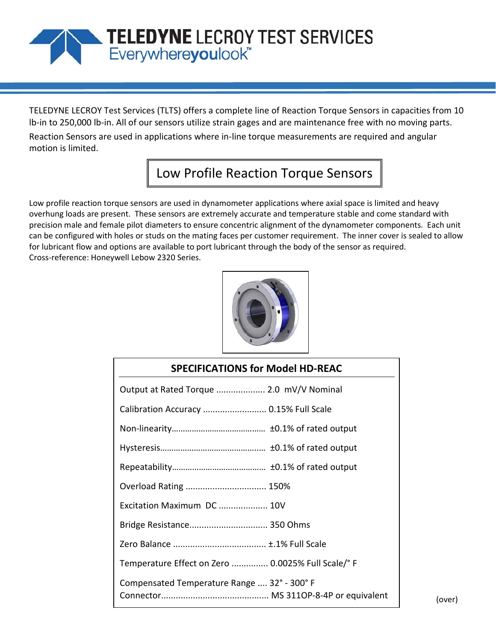## TELEDYNE LECROY TEST SERVICES<br>Everywhereyoulook"

TELEDYNE LECROY Test Services (TLTS) offers a complete line of Reaction Torque Sensors in capacities from 10 lb-in to 250,000 lb-in. All of our sensors utilize strain gages and are maintenance free with no moving parts. Reaction Sensors are used in applications where in-line torque measurements are required and angular motion is limited.

## Low Profile Reaction Torque Sensors

Low profile reaction torque sensors are used in dynamometer applications where axial space is limited and heavy overhung loads are present. These sensors are extremely accurate and temperature stable and come standard with precision male and female pilot diameters to ensure concentric alignment of the dynamometer components. Each unit can be configured with holes or studs on the mating faces per customer requirement. The inner cover is sealed to allow for lubricant flow and options are available to port lubricant through the body of the sensor as required. Cross-reference: Honeywell Lebow 2320 Series.